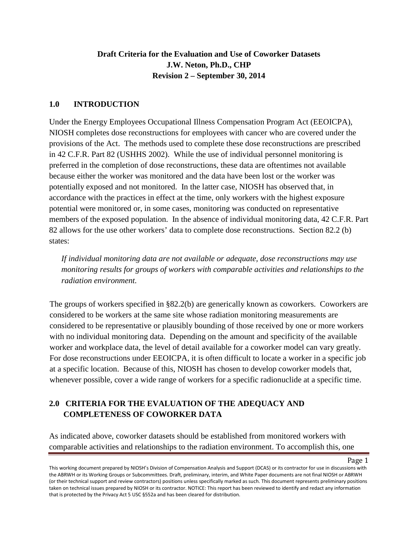# **Draft Criteria for the Evaluation and Use of Coworker Datasets J.W. Neton, Ph.D., CHP Revision 2 – September 30, 2014**

### **1.0 INTRODUCTION**

Under the Energy Employees Occupational Illness Compensation Program Act (EEOICPA), NIOSH completes dose reconstructions for employees with cancer who are covered under the provisions of the Act. The methods used to complete these dose reconstructions are prescribed in 42 C.F.R. Part 82 (USHHS 2002). While the use of individual personnel monitoring is preferred in the completion of dose reconstructions, these data are oftentimes not available because either the worker was monitored and the data have been lost or the worker was potentially exposed and not monitored. In the latter case, NIOSH has observed that, in accordance with the practices in effect at the time, only workers with the highest exposure potential were monitored or, in some cases, monitoring was conducted on representative members of the exposed population. In the absence of individual monitoring data, 42 C.F.R. Part 82 allows for the use other workers' data to complete dose reconstructions. Section 82.2 (b) states:

*If individual monitoring data are not available or adequate, dose reconstructions may use monitoring results for groups of workers with comparable activities and relationships to the radiation environment.*

The groups of workers specified in §82.2(b) are generically known as coworkers. Coworkers are considered to be workers at the same site whose radiation monitoring measurements are considered to be representative or plausibly bounding of those received by one or more workers with no individual monitoring data. Depending on the amount and specificity of the available worker and workplace data, the level of detail available for a coworker model can vary greatly. For dose reconstructions under EEOICPA, it is often difficult to locate a worker in a specific job at a specific location. Because of this, NIOSH has chosen to develop coworker models that, whenever possible, cover a wide range of workers for a specific radionuclide at a specific time.

# **2.0 CRITERIA FOR THE EVALUATION OF THE ADEQUACY AND COMPLETENESS OF COWORKER DATA**

As indicated above, coworker datasets should be established from monitored workers with comparable activities and relationships to the radiation environment. To accomplish this, one

This working document prepared by NIOSH's Division of Compensation Analysis and Support (DCAS) or its contractor for use in discussions with the ABRWH or its Working Groups or Subcommittees. Draft, preliminary, interim, and White Paper documents are not final NIOSH or ABRWH (or their technical support and review contractors) positions unless specifically marked as such. This document represents preliminary positions taken on technical issues prepared by NIOSH or its contractor. NOTICE: This report has been reviewed to identify and redact any information that is protected by the Privacy Act 5 USC §552a and has been cleared for distribution.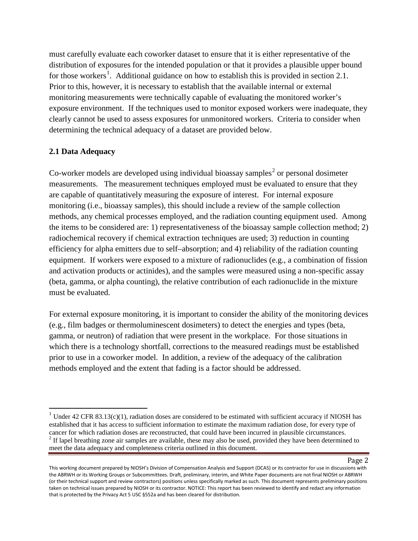must carefully evaluate each coworker dataset to ensure that it is either representative of the distribution of exposures for the intended population or that it provides a plausible upper bound for those workers<sup>[1](#page-1-0)</sup>. Additional guidance on how to establish this is provided in section 2.1. Prior to this, however, it is necessary to establish that the available internal or external monitoring measurements were technically capable of evaluating the monitored worker's exposure environment. If the techniques used to monitor exposed workers were inadequate, they clearly cannot be used to assess exposures for unmonitored workers. Criteria to consider when determining the technical adequacy of a dataset are provided below.

## **2.1 Data Adequacy**

l

Co-worker models are developed using individual bioassay samples<sup>[2](#page-1-1)</sup> or personal dosimeter measurements. The measurement techniques employed must be evaluated to ensure that they are capable of quantitatively measuring the exposure of interest. For internal exposure monitoring (i.e., bioassay samples), this should include a review of the sample collection methods, any chemical processes employed, and the radiation counting equipment used. Among the items to be considered are: 1) representativeness of the bioassay sample collection method; 2) radiochemical recovery if chemical extraction techniques are used; 3) reduction in counting efficiency for alpha emitters due to self–absorption; and 4) reliability of the radiation counting equipment. If workers were exposed to a mixture of radionuclides (e.g., a combination of fission and activation products or actinides), and the samples were measured using a non-specific assay (beta, gamma, or alpha counting), the relative contribution of each radionuclide in the mixture must be evaluated.

For external exposure monitoring, it is important to consider the ability of the monitoring devices (e.g., film badges or thermoluminescent dosimeters) to detect the energies and types (beta, gamma, or neutron) of radiation that were present in the workplace. For those situations in which there is a technology shortfall, corrections to the measured readings must be established prior to use in a coworker model. In addition, a review of the adequacy of the calibration methods employed and the extent that fading is a factor should be addressed.

<span id="page-1-1"></span><span id="page-1-0"></span><sup>&</sup>lt;sup>1</sup> Under 42 CFR 83.13(c)(1), radiation doses are considered to be estimated with sufficient accuracy if NIOSH has established that it has access to sufficient information to estimate the maximum radiation dose, for every type of cancer for which radiation doses are reconstructed, that could have been incurred in plausible circumstance  $^{2}$  If lapel breathing zone air samples are available, these may also be used, provided they have been determined to meet the data adequacy and completeness criteria outlined in this document.

This working document prepared by NIOSH's Division of Compensation Analysis and Support (DCAS) or its contractor for use in discussions with the ABRWH or its Working Groups or Subcommittees. Draft, preliminary, interim, and White Paper documents are not final NIOSH or ABRWH (or their technical support and review contractors) positions unless specifically marked as such. This document represents preliminary positions taken on technical issues prepared by NIOSH or its contractor. NOTICE: This report has been reviewed to identify and redact any information that is protected by the Privacy Act 5 USC §552a and has been cleared for distribution.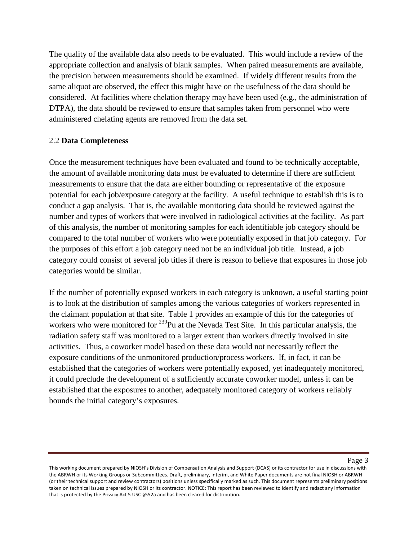The quality of the available data also needs to be evaluated. This would include a review of the appropriate collection and analysis of blank samples. When paired measurements are available, the precision between measurements should be examined. If widely different results from the same aliquot are observed, the effect this might have on the usefulness of the data should be considered. At facilities where chelation therapy may have been used (e.g., the administration of DTPA), the data should be reviewed to ensure that samples taken from personnel who were administered chelating agents are removed from the data set.

### 2.2 **Data Completeness**

Once the measurement techniques have been evaluated and found to be technically acceptable, the amount of available monitoring data must be evaluated to determine if there are sufficient measurements to ensure that the data are either bounding or representative of the exposure potential for each job/exposure category at the facility. A useful technique to establish this is to conduct a gap analysis. That is, the available monitoring data should be reviewed against the number and types of workers that were involved in radiological activities at the facility. As part of this analysis, the number of monitoring samples for each identifiable job category should be compared to the total number of workers who were potentially exposed in that job category. For the purposes of this effort a job category need not be an individual job title. Instead, a job category could consist of several job titles if there is reason to believe that exposures in those job categories would be similar.

If the number of potentially exposed workers in each category is unknown, a useful starting point is to look at the distribution of samples among the various categories of workers represented in the claimant population at that site. Table 1 provides an example of this for the categories of workers who were monitored for  $^{239}$ Pu at the Nevada Test Site. In this particular analysis, the radiation safety staff was monitored to a larger extent than workers directly involved in site activities. Thus, a coworker model based on these data would not necessarily reflect the exposure conditions of the unmonitored production/process workers. If, in fact, it can be established that the categories of workers were potentially exposed, yet inadequately monitored, it could preclude the development of a sufficiently accurate coworker model, unless it can be established that the exposures to another, adequately monitored category of workers reliably bounds the initial category's exposures.

This working document prepared by NIOSH's Division of Compensation Analysis and Support (DCAS) or its contractor for use in discussions with the ABRWH or its Working Groups or Subcommittees. Draft, preliminary, interim, and White Paper documents are not final NIOSH or ABRWH (or their technical support and review contractors) positions unless specifically marked as such. This document represents preliminary positions taken on technical issues prepared by NIOSH or its contractor. NOTICE: This report has been reviewed to identify and redact any information that is protected by the Privacy Act 5 USC §552a and has been cleared for distribution.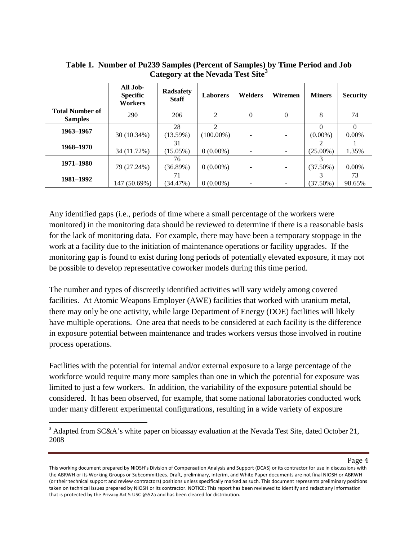|                                          | All Job-<br><b>Specific</b><br><b>Workers</b> | <b>Radsafety</b><br><b>Staff</b> | <b>Laborers</b>                             | <b>Welders</b> | Wiremen  | <b>Miners</b> | <b>Security</b>      |
|------------------------------------------|-----------------------------------------------|----------------------------------|---------------------------------------------|----------------|----------|---------------|----------------------|
| <b>Total Number of</b><br><b>Samples</b> | 290                                           | 206                              | 2                                           | $\theta$       | $\Omega$ | 8             | 74                   |
| 1963-1967                                | 30 (10.34%)                                   | 28<br>(13.59%)                   | $\mathcal{D}_{\mathcal{L}}$<br>$100.00\%$ ) | -              |          | $(0.00\%)$    | $\Omega$<br>$0.00\%$ |
| 1968-1970                                | 34 (11.72%)                                   | 31<br>$(15.05\%)$                | $0(0.00\%)$                                 |                |          | $(25.00\%)$   | 1.35%                |
| 1971-1980                                | 79 (27.24%)                                   | 76<br>(36.89%)                   | $0(0.00\%)$                                 | ۰              |          | $(37.50\%)$   | $0.00\%$             |
| 1981-1992                                | 147 (50.69%)                                  | 71<br>(34.47%)                   | $0(0.00\%)$                                 |                |          | $(37.50\%)$   | 73<br>98.65%         |

**Table 1. Number of Pu239 Samples (Percent of Samples) by Time Period and Job Category at the Nevada Test Site[3](#page-3-0)**

Any identified gaps (i.e., periods of time where a small percentage of the workers were monitored) in the monitoring data should be reviewed to determine if there is a reasonable basis for the lack of monitoring data. For example, there may have been a temporary stoppage in the work at a facility due to the initiation of maintenance operations or facility upgrades. If the monitoring gap is found to exist during long periods of potentially elevated exposure, it may not be possible to develop representative coworker models during this time period.

The number and types of discreetly identified activities will vary widely among covered facilities. At Atomic Weapons Employer (AWE) facilities that worked with uranium metal, there may only be one activity, while large Department of Energy (DOE) facilities will likely have multiple operations. One area that needs to be considered at each facility is the difference in exposure potential between maintenance and trades workers versus those involved in routine process operations.

Facilities with the potential for internal and/or external exposure to a large percentage of the workforce would require many more samples than one in which the potential for exposure was limited to just a few workers. In addition, the variability of the exposure potential should be considered. It has been observed, for example, that some national laboratories conducted work under many different experimental configurations, resulting in a wide variety of exposure

 $\overline{\phantom{a}}$ 

<span id="page-3-0"></span><sup>&</sup>lt;sup>3</sup> Adapted from SC&A's white paper on bioassay evaluation at the Nevada Test Site, dated October 21, 2008

This working document prepared by NIOSH's Division of Compensation Analysis and Support (DCAS) or its contractor for use in discussions with the ABRWH or its Working Groups or Subcommittees. Draft, preliminary, interim, and White Paper documents are not final NIOSH or ABRWH (or their technical support and review contractors) positions unless specifically marked as such. This document represents preliminary positions taken on technical issues prepared by NIOSH or its contractor. NOTICE: This report has been reviewed to identify and redact any information that is protected by the Privacy Act 5 USC §552a and has been cleared for distribution.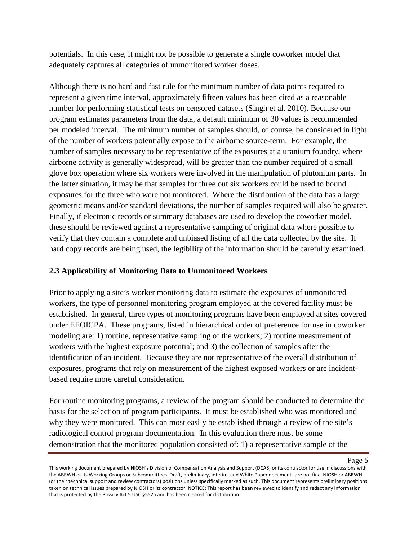potentials. In this case, it might not be possible to generate a single coworker model that adequately captures all categories of unmonitored worker doses.

Although there is no hard and fast rule for the minimum number of data points required to represent a given time interval, approximately fifteen values has been cited as a reasonable number for performing statistical tests on censored datasets (Singh et al. 2010). Because our program estimates parameters from the data, a default minimum of 30 values is recommended per modeled interval. The minimum number of samples should, of course, be considered in light of the number of workers potentially expose to the airborne source-term. For example, the number of samples necessary to be representative of the exposures at a uranium foundry, where airborne activity is generally widespread, will be greater than the number required of a small glove box operation where six workers were involved in the manipulation of plutonium parts. In the latter situation, it may be that samples for three out six workers could be used to bound exposures for the three who were not monitored. Where the distribution of the data has a large geometric means and/or standard deviations, the number of samples required will also be greater. Finally, if electronic records or summary databases are used to develop the coworker model, these should be reviewed against a representative sampling of original data where possible to verify that they contain a complete and unbiased listing of all the data collected by the site. If hard copy records are being used, the legibility of the information should be carefully examined.

## **2.3 Applicability of Monitoring Data to Unmonitored Workers**

Prior to applying a site's worker monitoring data to estimate the exposures of unmonitored workers, the type of personnel monitoring program employed at the covered facility must be established. In general, three types of monitoring programs have been employed at sites covered under EEOICPA. These programs, listed in hierarchical order of preference for use in coworker modeling are: 1) routine, representative sampling of the workers; 2) routine measurement of workers with the highest exposure potential; and 3) the collection of samples after the identification of an incident. Because they are not representative of the overall distribution of exposures, programs that rely on measurement of the highest exposed workers or are incidentbased require more careful consideration.

For routine monitoring programs, a review of the program should be conducted to determine the basis for the selection of program participants. It must be established who was monitored and why they were monitored. This can most easily be established through a review of the site's radiological control program documentation. In this evaluation there must be some demonstration that the monitored population consisted of: 1) a representative sample of the

This working document prepared by NIOSH's Division of Compensation Analysis and Support (DCAS) or its contractor for use in discussions with the ABRWH or its Working Groups or Subcommittees. Draft, preliminary, interim, and White Paper documents are not final NIOSH or ABRWH (or their technical support and review contractors) positions unless specifically marked as such. This document represents preliminary positions taken on technical issues prepared by NIOSH or its contractor. NOTICE: This report has been reviewed to identify and redact any information that is protected by the Privacy Act 5 USC §552a and has been cleared for distribution.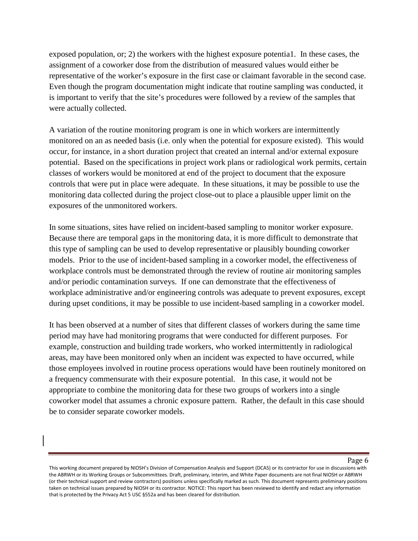exposed population, or; 2) the workers with the highest exposure potentia1. In these cases, the assignment of a coworker dose from the distribution of measured values would either be representative of the worker's exposure in the first case or claimant favorable in the second case. Even though the program documentation might indicate that routine sampling was conducted, it is important to verify that the site's procedures were followed by a review of the samples that were actually collected.

A variation of the routine monitoring program is one in which workers are intermittently monitored on an as needed basis (i.e. only when the potential for exposure existed). This would occur, for instance, in a short duration project that created an internal and/or external exposure potential. Based on the specifications in project work plans or radiological work permits, certain classes of workers would be monitored at end of the project to document that the exposure controls that were put in place were adequate. In these situations, it may be possible to use the monitoring data collected during the project close-out to place a plausible upper limit on the exposures of the unmonitored workers.

In some situations, sites have relied on incident-based sampling to monitor worker exposure. Because there are temporal gaps in the monitoring data, it is more difficult to demonstrate that this type of sampling can be used to develop representative or plausibly bounding coworker models. Prior to the use of incident-based sampling in a coworker model, the effectiveness of workplace controls must be demonstrated through the review of routine air monitoring samples and/or periodic contamination surveys. If one can demonstrate that the effectiveness of workplace administrative and/or engineering controls was adequate to prevent exposures, except during upset conditions, it may be possible to use incident-based sampling in a coworker model.

It has been observed at a number of sites that different classes of workers during the same time period may have had monitoring programs that were conducted for different purposes. For example, construction and building trade workers, who worked intermittently in radiological areas, may have been monitored only when an incident was expected to have occurred, while those employees involved in routine process operations would have been routinely monitored on a frequency commensurate with their exposure potential. In this case, it would not be appropriate to combine the monitoring data for these two groups of workers into a single coworker model that assumes a chronic exposure pattern. Rather, the default in this case should be to consider separate coworker models.

This working document prepared by NIOSH's Division of Compensation Analysis and Support (DCAS) or its contractor for use in discussions with the ABRWH or its Working Groups or Subcommittees. Draft, preliminary, interim, and White Paper documents are not final NIOSH or ABRWH (or their technical support and review contractors) positions unless specifically marked as such. This document represents preliminary positions taken on technical issues prepared by NIOSH or its contractor. NOTICE: This report has been reviewed to identify and redact any information that is protected by the Privacy Act 5 USC §552a and has been cleared for distribution.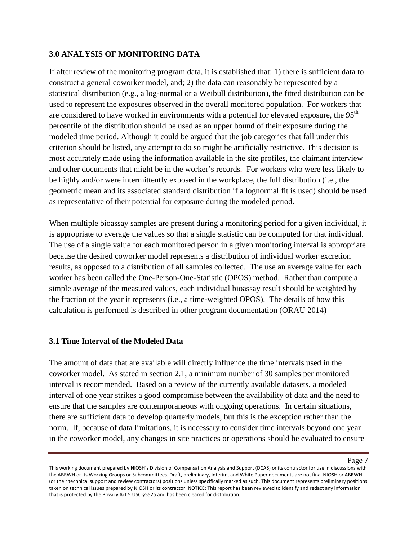### **3.0 ANALYSIS OF MONITORING DATA**

If after review of the monitoring program data, it is established that: 1) there is sufficient data to construct a general coworker model, and; 2) the data can reasonably be represented by a statistical distribution (e.g., a log-normal or a Weibull distribution), the fitted distribution can be used to represent the exposures observed in the overall monitored population. For workers that are considered to have worked in environments with a potential for elevated exposure, the 95<sup>th</sup> percentile of the distribution should be used as an upper bound of their exposure during the modeled time period. Although it could be argued that the job categories that fall under this criterion should be listed, any attempt to do so might be artificially restrictive. This decision is most accurately made using the information available in the site profiles, the claimant interview and other documents that might be in the worker's records*.* For workers who were less likely to be highly and/or were intermittently exposed in the workplace, the full distribution (i.e., the geometric mean and its associated standard distribution if a lognormal fit is used) should be used as representative of their potential for exposure during the modeled period.

When multiple bioassay samples are present during a monitoring period for a given individual, it is appropriate to average the values so that a single statistic can be computed for that individual. The use of a single value for each monitored person in a given monitoring interval is appropriate because the desired coworker model represents a distribution of individual worker excretion results, as opposed to a distribution of all samples collected. The use an average value for each worker has been called the One-Person-One-Statistic (OPOS) method. Rather than compute a simple average of the measured values, each individual bioassay result should be weighted by the fraction of the year it represents (i.e., a time-weighted OPOS). The details of how this calculation is performed is described in other program documentation (ORAU 2014)

### **3.1 Time Interval of the Modeled Data**

The amount of data that are available will directly influence the time intervals used in the coworker model. As stated in section 2.1, a minimum number of 30 samples per monitored interval is recommended. Based on a review of the currently available datasets, a modeled interval of one year strikes a good compromise between the availability of data and the need to ensure that the samples are contemporaneous with ongoing operations. In certain situations, there are sufficient data to develop quarterly models, but this is the exception rather than the norm. If, because of data limitations, it is necessary to consider time intervals beyond one year in the coworker model, any changes in site practices or operations should be evaluated to ensure

This working document prepared by NIOSH's Division of Compensation Analysis and Support (DCAS) or its contractor for use in discussions with the ABRWH or its Working Groups or Subcommittees. Draft, preliminary, interim, and White Paper documents are not final NIOSH or ABRWH (or their technical support and review contractors) positions unless specifically marked as such. This document represents preliminary positions taken on technical issues prepared by NIOSH or its contractor. NOTICE: This report has been reviewed to identify and redact any information that is protected by the Privacy Act 5 USC §552a and has been cleared for distribution.